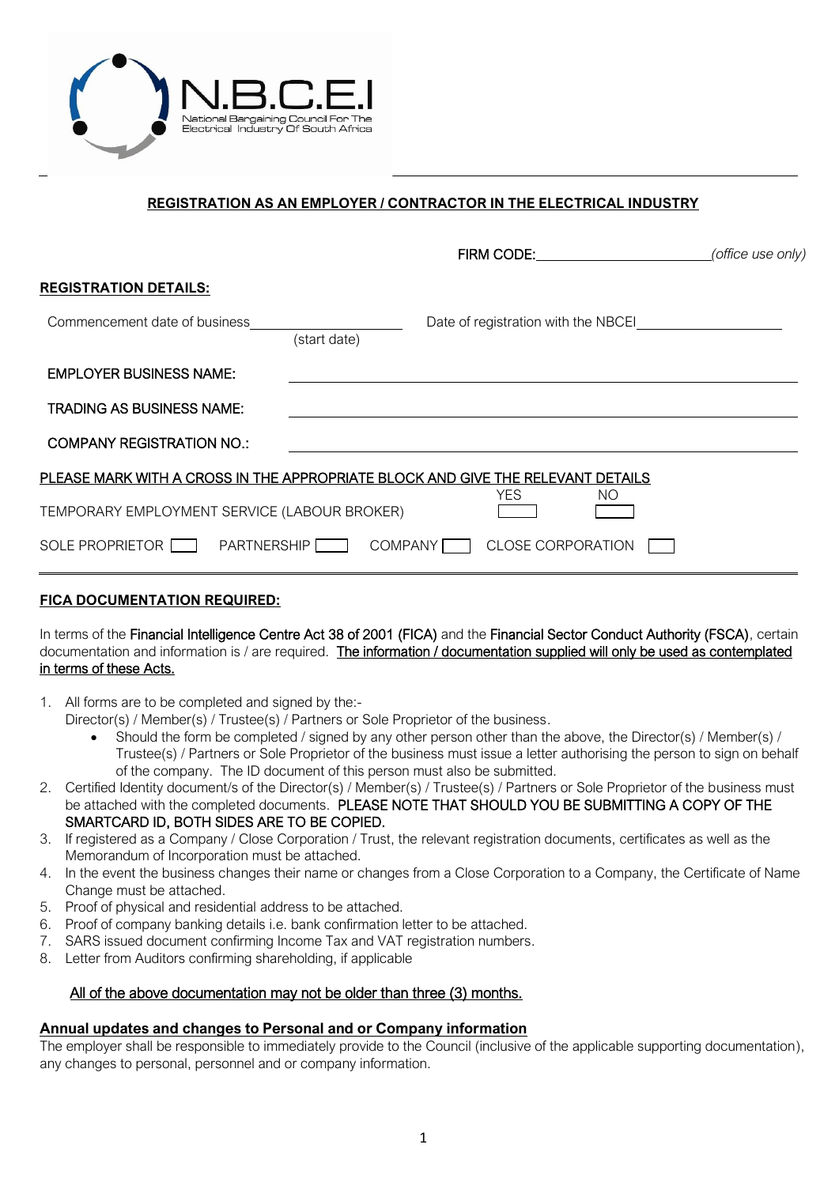

# **REGISTRATION AS AN EMPLOYER / CONTRACTOR IN THE ELECTRICAL INDUSTRY**

|                                                                                 |              | FIRM CODE:                          |     | (office use only) |
|---------------------------------------------------------------------------------|--------------|-------------------------------------|-----|-------------------|
| <b>REGISTRATION DETAILS:</b>                                                    |              |                                     |     |                   |
| Commencement date of business                                                   |              | Date of registration with the NBCEI |     |                   |
|                                                                                 | (start date) |                                     |     |                   |
| <b>EMPLOYER BUSINESS NAME:</b>                                                  |              |                                     |     |                   |
| <b>TRADING AS BUSINESS NAME:</b>                                                |              |                                     |     |                   |
| <b>COMPANY REGISTRATION NO.:</b>                                                |              |                                     |     |                   |
| PLEASE MARK WITH A CROSS IN THE APPROPRIATE BLOCK AND GIVE THE RELEVANT DETAILS |              |                                     |     |                   |
| TEMPORARY EMPLOYMENT SERVICE (LABOUR BROKER)                                    |              | <b>YES</b>                          | NO. |                   |
| SOLE PROPRIETOR THE PARTNERSHIP                                                 | COMPANY      | <b>CLOSE CORPORATION</b>            |     |                   |
|                                                                                 |              |                                     |     |                   |

## **FICA DOCUMENTATION REQUIRED:**

In terms of the Financial Intelligence Centre Act 38 of 2001 (FICA) and the Financial Sector Conduct Authority (FSCA), certain documentation and information is / are required. The information / documentation supplied will only be used as contemplated in terms of these Acts.

- 1. All forms are to be completed and signed by the:-
	- Director(s) / Member(s) / Trustee(s) / Partners or Sole Proprietor of the business.
		- Should the form be completed / signed by any other person other than the above, the Director(s) / Member(s) / Trustee(s) / Partners or Sole Proprietor of the business must issue a letter authorising the person to sign on behalf of the company. The ID document of this person must also be submitted.
- 2. Certified Identity document/s of the Director(s) / Member(s) / Trustee(s) / Partners or Sole Proprietor of the business must be attached with the completed documents. PLEASE NOTE THAT SHOULD YOU BE SUBMITTING A COPY OF THE SMARTCARD ID, BOTH SIDES ARE TO BE COPIED.
- 3. If registered as a Company / Close Corporation / Trust, the relevant registration documents, certificates as well as the Memorandum of Incorporation must be attached.
- 4. In the event the business changes their name or changes from a Close Corporation to a Company, the Certificate of Name Change must be attached.
- 5. Proof of physical and residential address to be attached.
- 6. Proof of company banking details i.e. bank confirmation letter to be attached.
- 7. SARS issued document confirming Income Tax and VAT registration numbers.
- 8. Letter from Auditors confirming shareholding, if applicable

### All of the above documentation may not be older than three (3) months.

#### **Annual updates and changes to Personal and or Company information**

The employer shall be responsible to immediately provide to the Council (inclusive of the applicable supporting documentation), any changes to personal, personnel and or company information.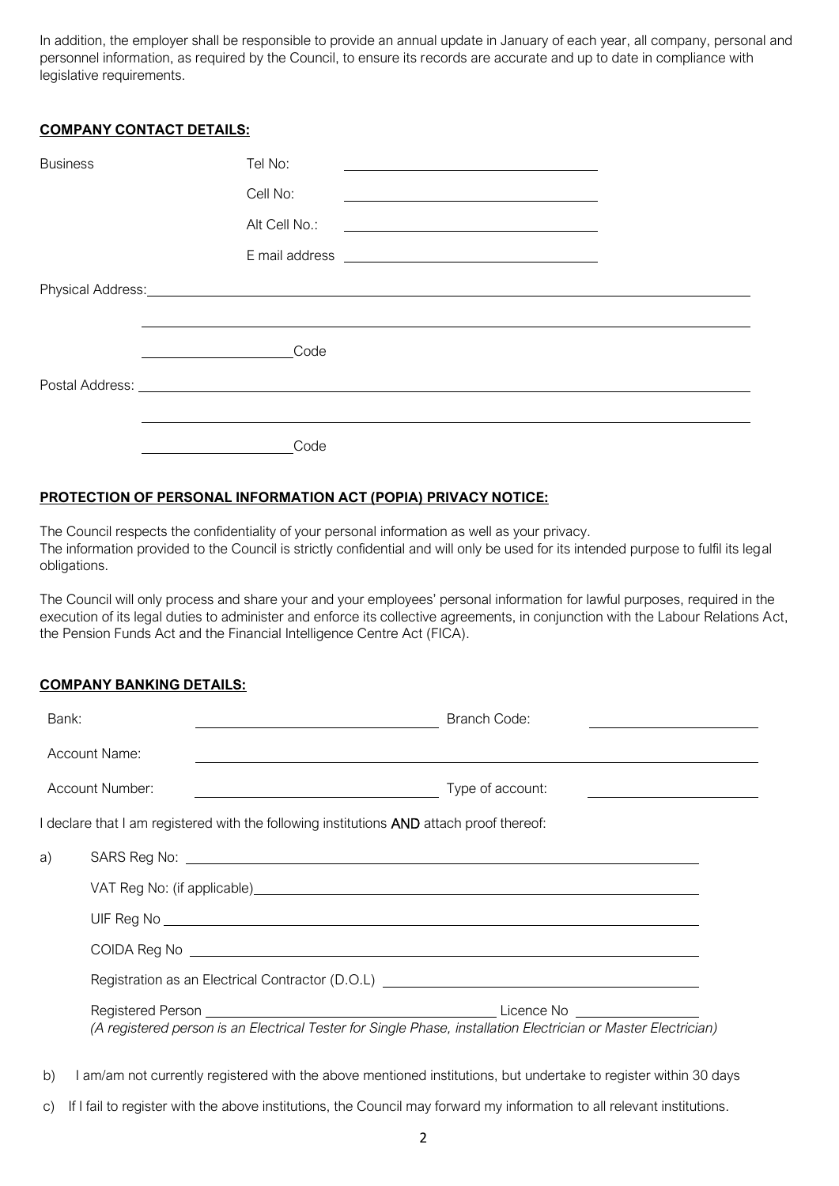In addition, the employer shall be responsible to provide an annual update in January of each year, all company, personal and personnel information, as required by the Council, to ensure its records are accurate and up to date in compliance with legislative requirements.

#### **COMPANY CONTACT DETAILS:**

| <b>Business</b> | Tel No:                                                                |
|-----------------|------------------------------------------------------------------------|
|                 | Cell No:                                                               |
|                 | Alt Cell No.:<br><u> 1989 - Johann Stein, fransk politik (f. 1989)</u> |
|                 |                                                                        |
|                 |                                                                        |
|                 |                                                                        |
|                 | Code                                                                   |
|                 |                                                                        |
|                 |                                                                        |
|                 | Code                                                                   |

#### **PROTECTION OF PERSONAL INFORMATION ACT (POPIA) PRIVACY NOTICE:**

The Council respects the confidentiality of your personal information as well as your privacy. The information provided to the Council is strictly confidential and will only be used for its intended purpose to fulfil its legal obligations.

The Council will only process and share your and your employees' personal information for lawful purposes, required in the execution of its legal duties to administer and enforce its collective agreements, in conjunction with the Labour Relations Act, the Pension Funds Act and the Financial Intelligence Centre Act (FICA).

#### **COMPANY BANKING DETAILS:**

| Bank: |                                                                                                                                         | Branch Code:     |
|-------|-----------------------------------------------------------------------------------------------------------------------------------------|------------------|
|       | Account Name:                                                                                                                           |                  |
|       | Account Number:<br><u> 1989 - Johann Barn, mars ann an t-Amhain Aonaich an t-Aonaich an t-Aonaich ann an t-Aonaich ann an t-Aonaich</u> | Type of account: |
|       | I declare that I am registered with the following institutions <b>AND</b> attach proof thereof:                                         |                  |
| a)    |                                                                                                                                         |                  |
|       |                                                                                                                                         |                  |
|       |                                                                                                                                         |                  |
|       |                                                                                                                                         |                  |
|       |                                                                                                                                         |                  |
|       | (A registered person is an Electrical Tester for Single Phase, installation Electrician or Master Electrician)                          |                  |

- b) I am/am not currently registered with the above mentioned institutions, but undertake to register within 30 days
- c) If I fail to register with the above institutions, the Council may forward my information to all relevant institutions.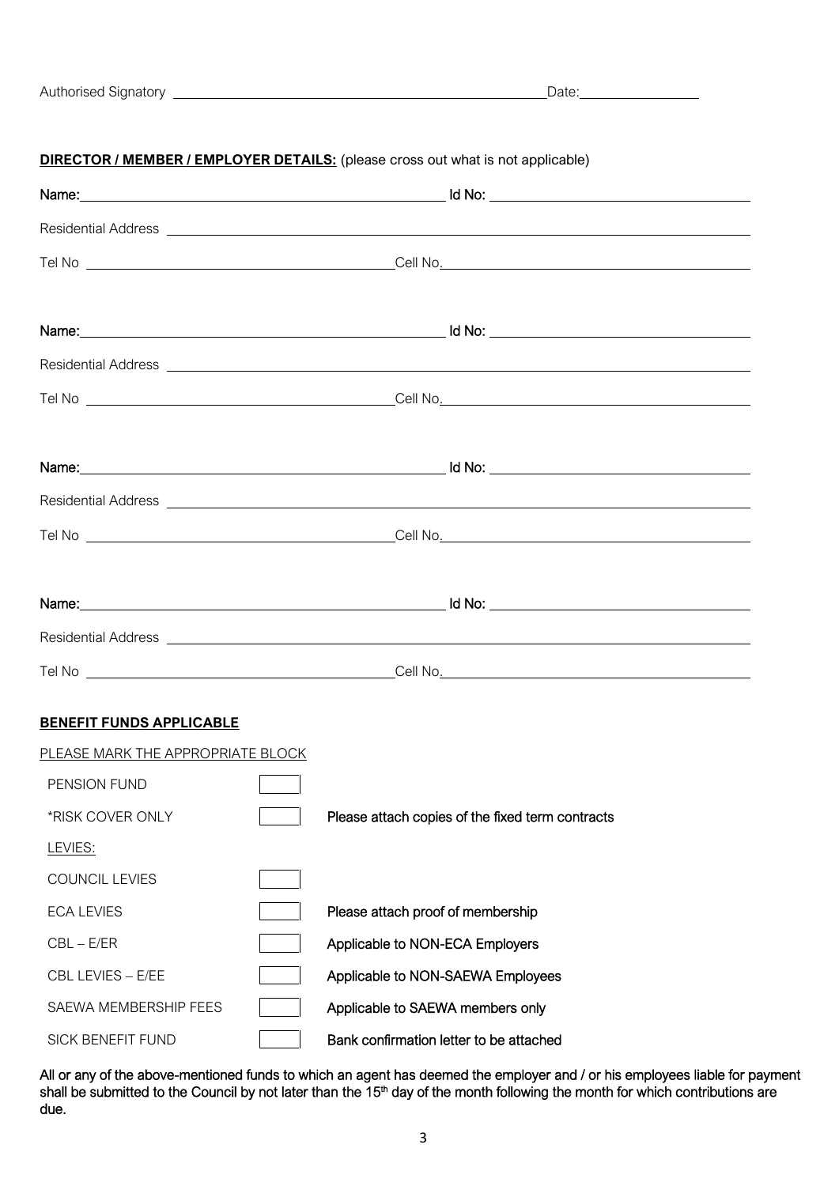#### **DIRECTOR / MEMBER / EMPLOYER DETAILS:** (please cross out what is not applicable)

| <b>BENEFIT FUNDS APPLICABLE</b>   |                                                                              |
|-----------------------------------|------------------------------------------------------------------------------|
| PLEASE MARK THE APPROPRIATE BLOCK |                                                                              |
| PENSION FUND                      | $\sqrt{2}$                                                                   |
|                                   | *RISK COVER ONLY <b>THE Please attach copies of the fixed term contracts</b> |
| LEVIES:                           |                                                                              |
| <b>COUNCIL LEVIES</b>             |                                                                              |
| <b>ECA LEVIES</b>                 | Please attach proof of membership                                            |
| $CBL - E/ER$                      | Applicable to NON-ECA Employers                                              |
| CBL LEVIES - E/EE                 | Applicable to NON-SAEWA Employees                                            |
| SAEWA MEMBERSHIP FEES             | Applicable to SAEWA members only                                             |
| SICK BENEFIT FUND                 | Bank confirmation letter to be attached                                      |

All or any of the above-mentioned funds to which an agent has deemed the employer and / or his employees liable for payment shall be submitted to the Council by not later than the 15<sup>th</sup> day of the month following the month for which contributions are due.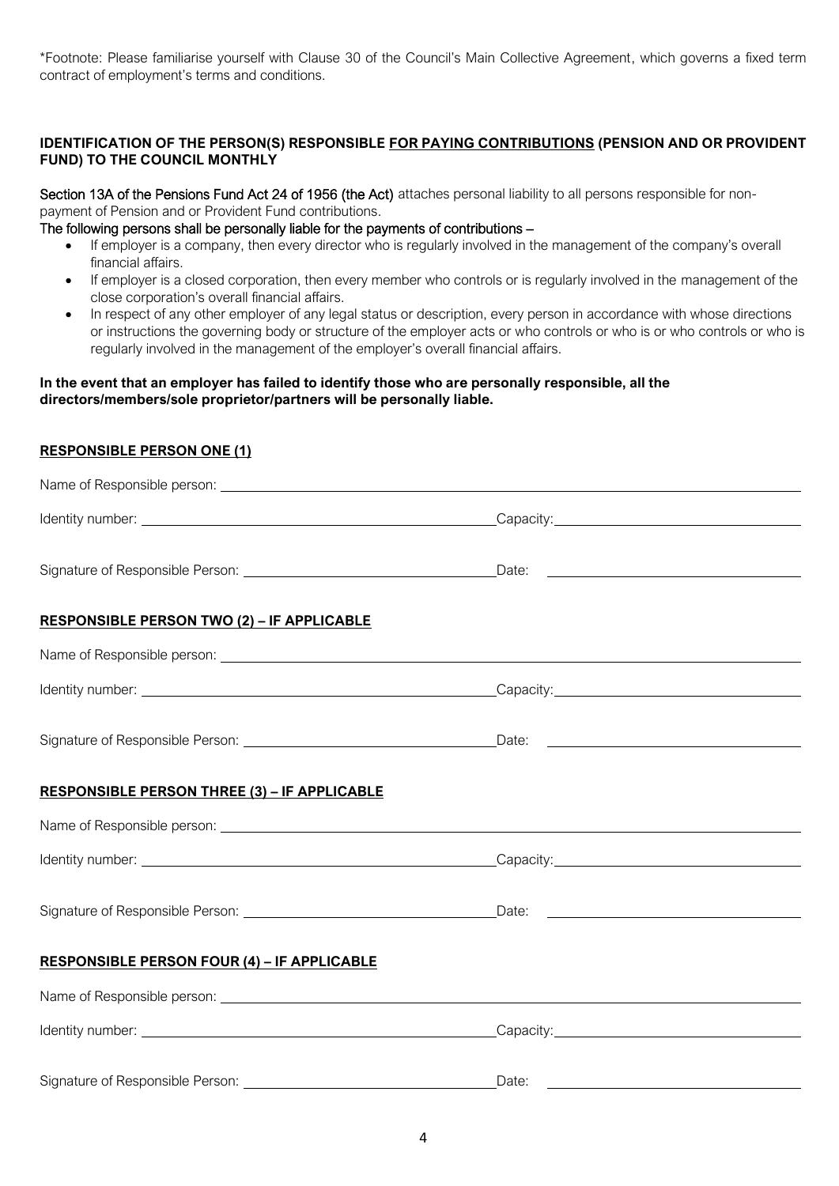\*Footnote: Please familiarise yourself with Clause 30 of the Council's Main Collective Agreement, which governs a fixed term contract of employment's terms and conditions.

### **IDENTIFICATION OF THE PERSON(S) RESPONSIBLE FOR PAYING CONTRIBUTIONS (PENSION AND OR PROVIDENT FUND) TO THE COUNCIL MONTHLY**

Section 13A of the Pensions Fund Act 24 of 1956 (the Act) attaches personal liability to all persons responsible for nonpayment of Pension and or Provident Fund contributions.

The following persons shall be personally liable for the payments of contributions –

- If employer is a company, then every director who is regularly involved in the management of the company's overall financial affairs.
- If employer is a closed corporation, then every member who controls or is regularly involved in the management of the close corporation's overall financial affairs.
- In respect of any other employer of any legal status or description, every person in accordance with whose directions or instructions the governing body or structure of the employer acts or who controls or who is or who controls or who is regularly involved in the management of the employer's overall financial affairs.

#### **In the event that an employer has failed to identify those who are personally responsible, all the directors/members/sole proprietor/partners will be personally liable.**

### **RESPONSIBLE PERSON ONE (1)**

| <b>RESPONSIBLE PERSON TWO (2) - IF APPLICABLE</b>   |       |  |
|-----------------------------------------------------|-------|--|
|                                                     |       |  |
|                                                     |       |  |
|                                                     |       |  |
| <b>RESPONSIBLE PERSON THREE (3) - IF APPLICABLE</b> |       |  |
|                                                     |       |  |
|                                                     |       |  |
|                                                     |       |  |
| <b>RESPONSIBLE PERSON FOUR (4) - IF APPLICABLE</b>  |       |  |
|                                                     |       |  |
|                                                     |       |  |
|                                                     | Date: |  |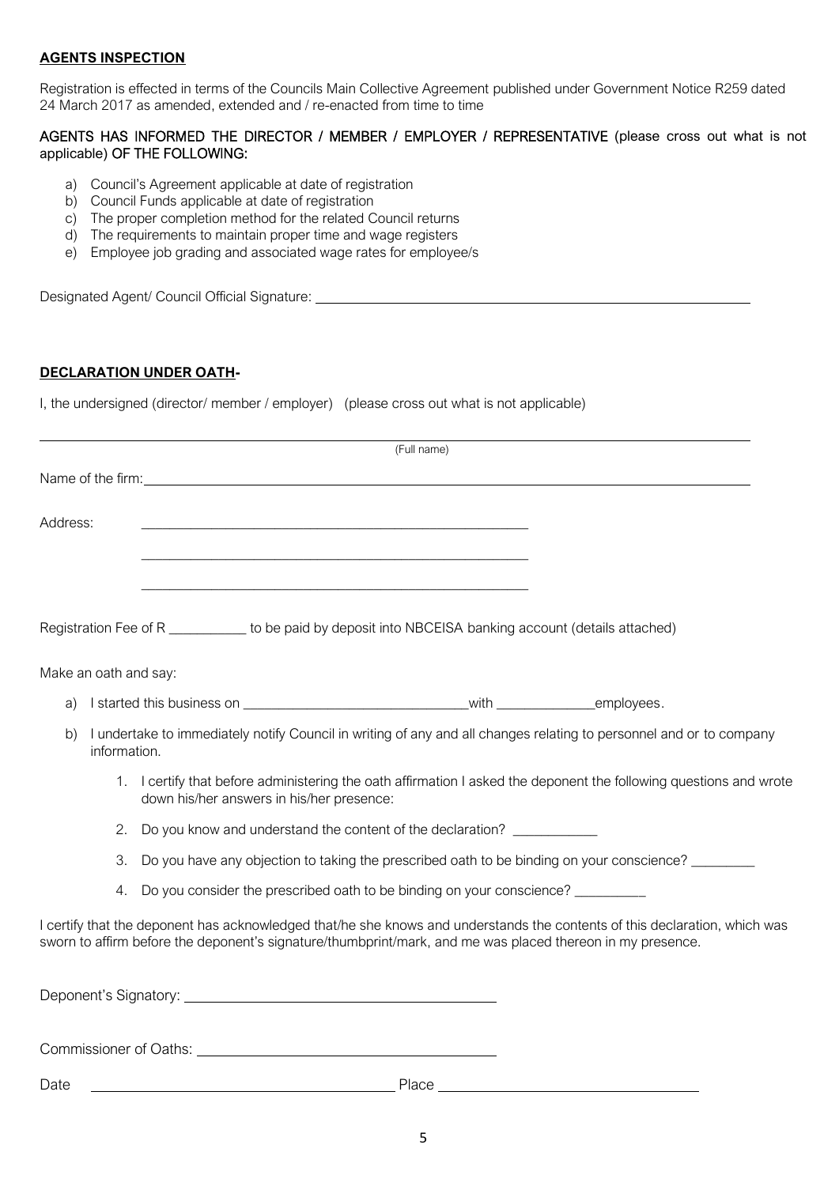#### **AGENTS INSPECTION**

Registration is effected in terms of the Councils Main Collective Agreement published under Government Notice R259 dated 24 March 2017 as amended, extended and / re-enacted from time to time

#### AGENTS HAS INFORMED THE DIRECTOR / MEMBER / EMPLOYER / REPRESENTATIVE (please cross out what is not applicable) OF THE FOLLOWING:

- a) Council's Agreement applicable at date of registration
- b) Council Funds applicable at date of registration
- c) The proper completion method for the related Council returns
- d) The requirements to maintain proper time and wage registers
- e) Employee job grading and associated wage rates for employee/s

Designated Agent/ Council Official Signature:

# **DECLARATION UNDER OATH-**

I, the undersigned (director/ member / employer) (please cross out what is not applicable)

|                       |                                                                                                                                                                                                                                          | (Full name) |  |
|-----------------------|------------------------------------------------------------------------------------------------------------------------------------------------------------------------------------------------------------------------------------------|-------------|--|
|                       | Name of the firm: Name of the firm:                                                                                                                                                                                                      |             |  |
| Address:              |                                                                                                                                                                                                                                          |             |  |
|                       |                                                                                                                                                                                                                                          |             |  |
|                       |                                                                                                                                                                                                                                          |             |  |
|                       | Registration Fee of R _____________ to be paid by deposit into NBCEISA banking account (details attached)                                                                                                                                |             |  |
| Make an oath and say: |                                                                                                                                                                                                                                          |             |  |
| a)                    |                                                                                                                                                                                                                                          |             |  |
| b)<br>information.    | I undertake to immediately notify Council in writing of any and all changes relating to personnel and or to company                                                                                                                      |             |  |
|                       | 1. I certify that before administering the oath affirmation I asked the deponent the following questions and wrote<br>down his/her answers in his/her presence:                                                                          |             |  |
| 2.                    | Do you know and understand the content of the declaration? ____________                                                                                                                                                                  |             |  |
| 3.                    | Do you have any objection to taking the prescribed oath to be binding on your conscience?                                                                                                                                                |             |  |
| 4.                    | Do you consider the prescribed oath to be binding on your conscience? _________                                                                                                                                                          |             |  |
|                       | I certify that the deponent has acknowledged that/he she knows and understands the contents of this declaration, which was<br>sworn to affirm before the deponent's signature/thumbprint/mark, and me was placed thereon in my presence. |             |  |
|                       |                                                                                                                                                                                                                                          |             |  |
|                       |                                                                                                                                                                                                                                          |             |  |
| Date                  |                                                                                                                                                                                                                                          | Place       |  |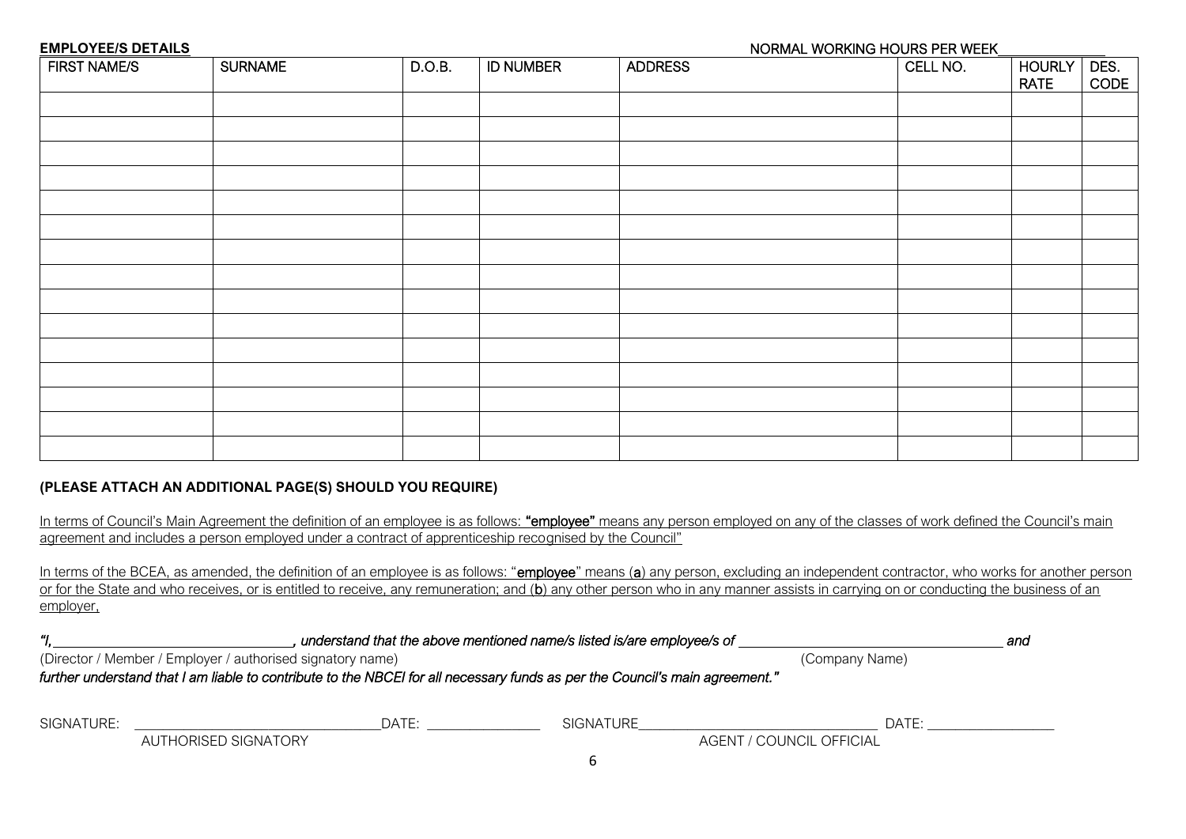#### **NORMAL WORKING HOURS PER WEEK**

| <b>FIRST NAME/S</b> | <b>SURNAME</b> | D.O.B. | <b>ID NUMBER</b> | <b>ADDRESS</b> | CELL NO. | <b>HOURLY</b><br><b>RATE</b> | DES.<br>CODE |
|---------------------|----------------|--------|------------------|----------------|----------|------------------------------|--------------|
|                     |                |        |                  |                |          |                              |              |
|                     |                |        |                  |                |          |                              |              |
|                     |                |        |                  |                |          |                              |              |
|                     |                |        |                  |                |          |                              |              |
|                     |                |        |                  |                |          |                              |              |
|                     |                |        |                  |                |          |                              |              |
|                     |                |        |                  |                |          |                              |              |
|                     |                |        |                  |                |          |                              |              |
|                     |                |        |                  |                |          |                              |              |
|                     |                |        |                  |                |          |                              |              |
|                     |                |        |                  |                |          |                              |              |
|                     |                |        |                  |                |          |                              |              |
|                     |                |        |                  |                |          |                              |              |
|                     |                |        |                  |                |          |                              |              |
|                     |                |        |                  |                |          |                              |              |

### **(PLEASE ATTACH AN ADDITIONAL PAGE(S) SHOULD YOU REQUIRE)**

|  |                                                                                                        |  |  | In terms of Council's Main Agreement the definition of an employee is as follows: "employee" means any person employed on any of the classes of work defined the Council's main |
|--|--------------------------------------------------------------------------------------------------------|--|--|---------------------------------------------------------------------------------------------------------------------------------------------------------------------------------|
|  | agreement and includes a person employed under a contract of apprenticeship recognised by the Council" |  |  |                                                                                                                                                                                 |

In terms of the BCEA, as amended, the definition of an employee is as follows: "employee" means (a) any person, excluding an independent contractor, who works for another person or for the State and who receives, or is entitled to receive, any remuneration; and (b) any other person who in any manner assists in carrying on or conducting the business of an employer,

| "<br>understand that the above mentioned name/s listed is/are employee/s of |                                                                                                                              |                                       |       |  |  |  |
|-----------------------------------------------------------------------------|------------------------------------------------------------------------------------------------------------------------------|---------------------------------------|-------|--|--|--|
|                                                                             | (Director / Member / Employer / authorised signatory name)                                                                   | (Company Name)                        |       |  |  |  |
|                                                                             | further understand that I am liable to contribute to the NBCEI for all necessary funds as per the Council's main agreement." |                                       |       |  |  |  |
|                                                                             |                                                                                                                              |                                       |       |  |  |  |
| SIGNATURE:                                                                  | DATE:<br>AUTHORISED SIGNATORY                                                                                                | SIGNATURE<br>AGENT / COUNCIL OFFICIAL | DATE: |  |  |  |